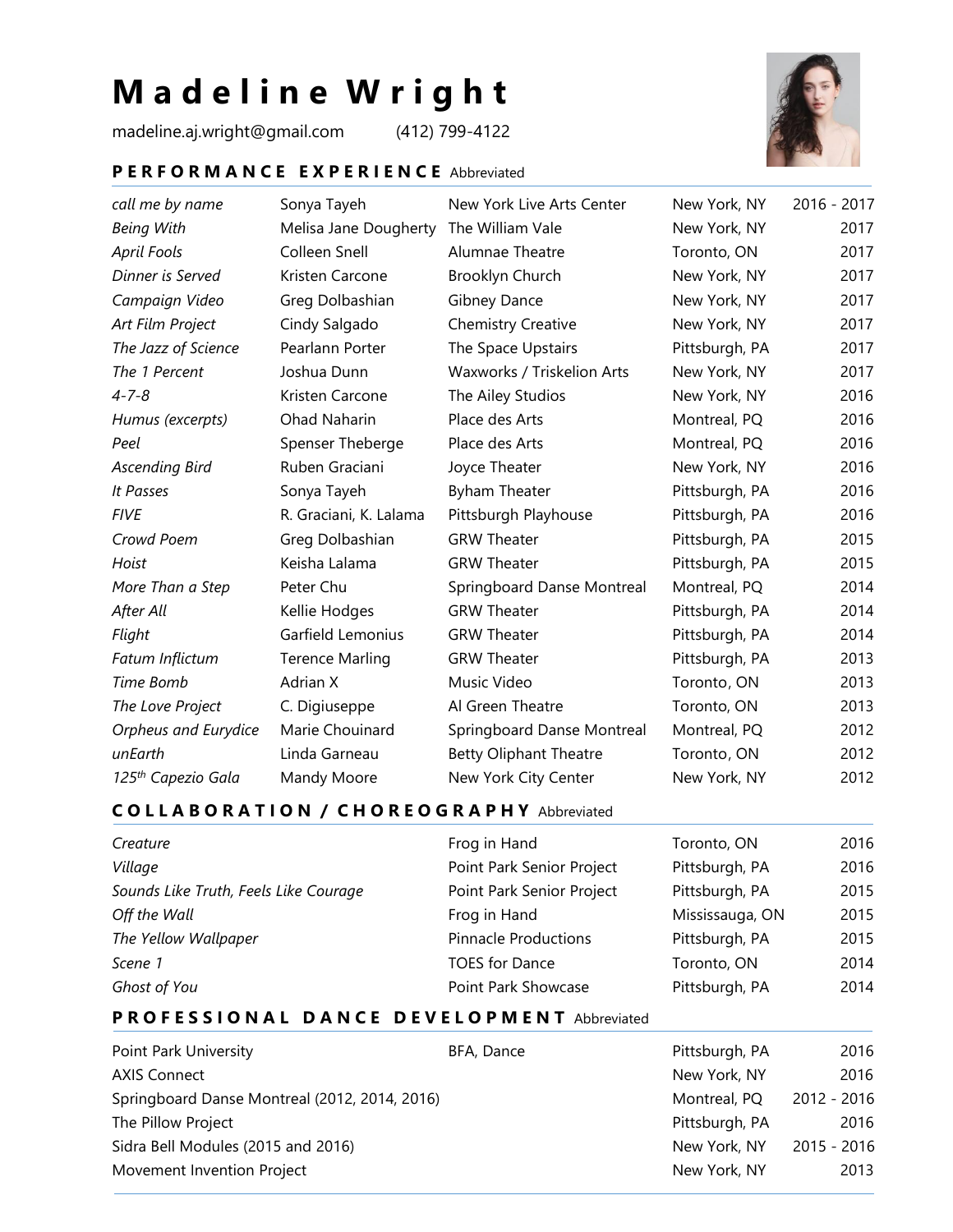# **M a d e l i n e W r i g h t**

madeline.aj.wright@gmail.com (412) 799-4122



#### **P E R F O R M A N C E E X P E R I E N C E** Abbreviated

| call me by name                | Sonya Tayeh            | New York Live Arts Center     | New York, NY   | 2016 - 2017 |
|--------------------------------|------------------------|-------------------------------|----------------|-------------|
| <b>Being With</b>              | Melisa Jane Dougherty  | The William Vale              | New York, NY   | 2017        |
| April Fools                    | Colleen Snell          | Alumnae Theatre               | Toronto, ON    | 2017        |
| Dinner is Served               | Kristen Carcone        | Brooklyn Church               | New York, NY   | 2017        |
| Campaign Video                 | Greg Dolbashian        | Gibney Dance                  | New York, NY   | 2017        |
| Art Film Project               | Cindy Salgado          | <b>Chemistry Creative</b>     | New York, NY   | 2017        |
| The Jazz of Science            | Pearlann Porter        | The Space Upstairs            | Pittsburgh, PA | 2017        |
| The 1 Percent                  | Joshua Dunn            | Waxworks / Triskelion Arts    | New York, NY   | 2017        |
| $4 - 7 - 8$                    | Kristen Carcone        | The Ailey Studios             | New York, NY   | 2016        |
| Humus (excerpts)               | Ohad Naharin           | Place des Arts                | Montreal, PQ   | 2016        |
| Peel                           | Spenser Theberge       | Place des Arts                | Montreal, PQ   | 2016        |
| <b>Ascending Bird</b>          | Ruben Graciani         | Joyce Theater                 | New York, NY   | 2016        |
| It Passes                      | Sonya Tayeh            | Byham Theater                 | Pittsburgh, PA | 2016        |
| <b>FIVE</b>                    | R. Graciani, K. Lalama | Pittsburgh Playhouse          | Pittsburgh, PA | 2016        |
| Crowd Poem                     | Greg Dolbashian        | <b>GRW Theater</b>            | Pittsburgh, PA | 2015        |
| Hoist                          | Keisha Lalama          | <b>GRW Theater</b>            | Pittsburgh, PA | 2015        |
| More Than a Step               | Peter Chu              | Springboard Danse Montreal    | Montreal, PQ   | 2014        |
| After All                      | Kellie Hodges          | <b>GRW Theater</b>            | Pittsburgh, PA | 2014        |
| Flight                         | Garfield Lemonius      | <b>GRW Theater</b>            | Pittsburgh, PA | 2014        |
| Fatum Inflictum                | <b>Terence Marling</b> | <b>GRW Theater</b>            | Pittsburgh, PA | 2013        |
| Time Bomb                      | Adrian X               | Music Video                   | Toronto, ON    | 2013        |
| The Love Project               | C. Digiuseppe          | Al Green Theatre              | Toronto, ON    | 2013        |
| Orpheus and Eurydice           | Marie Chouinard        | Springboard Danse Montreal    | Montreal, PQ   | 2012        |
| unEarth                        | Linda Garneau          | <b>Betty Oliphant Theatre</b> | Toronto, ON    | 2012        |
| 125 <sup>th</sup> Capezio Gala | Mandy Moore            | New York City Center          | New York, NY   | 2012        |

## **C O L L A B O R A T I O N / C H O R E O G R A P H Y** Abbreviated

| Creature                              | Frog in Hand                | Toronto, ON     | 2016 |
|---------------------------------------|-----------------------------|-----------------|------|
| Village                               | Point Park Senior Project   | Pittsburgh, PA  | 2016 |
| Sounds Like Truth, Feels Like Courage | Point Park Senior Project   | Pittsburgh, PA  | 2015 |
| Off the Wall                          | Frog in Hand                | Mississauga, ON | 2015 |
| The Yellow Wallpaper                  | <b>Pinnacle Productions</b> | Pittsburgh, PA  | 2015 |
| Scene 1                               | <b>TOES for Dance</b>       | Toronto, ON     | 2014 |
| Ghost of You                          | Point Park Showcase         | Pittsburgh, PA  | 2014 |

## **P R O F E S S I O N A L D A N C E D E V E L O P M E N T** Abbreviated

| Point Park University                         | BFA, Dance | Pittsburgh, PA | 2016        |
|-----------------------------------------------|------------|----------------|-------------|
| <b>AXIS Connect</b>                           |            | New York, NY   | 2016        |
| Springboard Danse Montreal (2012, 2014, 2016) |            | Montreal, PQ   | 2012 - 2016 |
| The Pillow Project                            |            | Pittsburgh, PA | 2016        |
| Sidra Bell Modules (2015 and 2016)            |            | New York, NY   | 2015 - 2016 |
| Movement Invention Project                    |            | New York, NY   | 2013        |